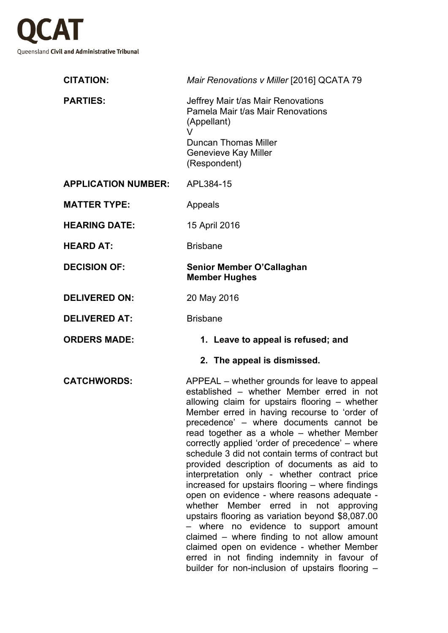

| <b>CITATION:</b>           | Mair Renovations v Miller [2016] QCATA 79                                                                                                                                                                                                                                                                                                                                                                                                                                                                                                                                                                                                                                                                                                                                                                                                                                                                                         |  |  |
|----------------------------|-----------------------------------------------------------------------------------------------------------------------------------------------------------------------------------------------------------------------------------------------------------------------------------------------------------------------------------------------------------------------------------------------------------------------------------------------------------------------------------------------------------------------------------------------------------------------------------------------------------------------------------------------------------------------------------------------------------------------------------------------------------------------------------------------------------------------------------------------------------------------------------------------------------------------------------|--|--|
| <b>PARTIES:</b>            | Jeffrey Mair t/as Mair Renovations<br>Pamela Mair t/as Mair Renovations<br>(Appellant)<br>V<br><b>Duncan Thomas Miller</b><br><b>Genevieve Kay Miller</b><br>(Respondent)                                                                                                                                                                                                                                                                                                                                                                                                                                                                                                                                                                                                                                                                                                                                                         |  |  |
| <b>APPLICATION NUMBER:</b> | APL384-15                                                                                                                                                                                                                                                                                                                                                                                                                                                                                                                                                                                                                                                                                                                                                                                                                                                                                                                         |  |  |
| <b>MATTER TYPE:</b>        | Appeals                                                                                                                                                                                                                                                                                                                                                                                                                                                                                                                                                                                                                                                                                                                                                                                                                                                                                                                           |  |  |
| <b>HEARING DATE:</b>       | 15 April 2016                                                                                                                                                                                                                                                                                                                                                                                                                                                                                                                                                                                                                                                                                                                                                                                                                                                                                                                     |  |  |
| <b>HEARD AT:</b>           | <b>Brisbane</b>                                                                                                                                                                                                                                                                                                                                                                                                                                                                                                                                                                                                                                                                                                                                                                                                                                                                                                                   |  |  |
| <b>DECISION OF:</b>        | Senior Member O'Callaghan<br><b>Member Hughes</b>                                                                                                                                                                                                                                                                                                                                                                                                                                                                                                                                                                                                                                                                                                                                                                                                                                                                                 |  |  |
| <b>DELIVERED ON:</b>       | 20 May 2016                                                                                                                                                                                                                                                                                                                                                                                                                                                                                                                                                                                                                                                                                                                                                                                                                                                                                                                       |  |  |
| <b>DELIVERED AT:</b>       | <b>Brisbane</b>                                                                                                                                                                                                                                                                                                                                                                                                                                                                                                                                                                                                                                                                                                                                                                                                                                                                                                                   |  |  |
| <b>ORDERS MADE:</b>        | 1. Leave to appeal is refused; and                                                                                                                                                                                                                                                                                                                                                                                                                                                                                                                                                                                                                                                                                                                                                                                                                                                                                                |  |  |
|                            | 2. The appeal is dismissed.                                                                                                                                                                                                                                                                                                                                                                                                                                                                                                                                                                                                                                                                                                                                                                                                                                                                                                       |  |  |
| <b>CATCHWORDS:</b>         | APPEAL – whether grounds for leave to appeal<br>established - whether Member erred in not<br>allowing claim for upstairs flooring - whether<br>Member erred in having recourse to 'order of<br>precedence' - where documents cannot be<br>read together as a whole - whether Member<br>correctly applied 'order of precedence' – where<br>schedule 3 did not contain terms of contract but<br>provided description of documents as aid to<br>interpretation only - whether contract price<br>increased for upstairs flooring - where findings<br>open on evidence - where reasons adequate -<br>whether Member erred in not approving<br>upstairs flooring as variation beyond \$8,087.00<br>- where no evidence to support amount<br>claimed - where finding to not allow amount<br>claimed open on evidence - whether Member<br>erred in not finding indemnity in favour of<br>builder for non-inclusion of upstairs flooring - |  |  |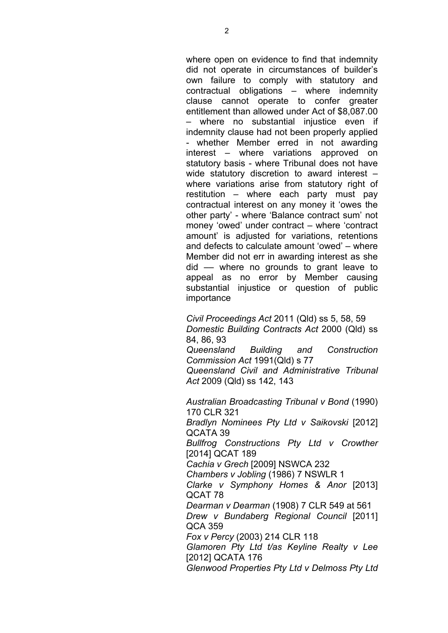where open on evidence to find that indemnity did not operate in circumstances of builder's own failure to comply with statutory and contractual obligations – where indemnity clause cannot operate to confer greater entitlement than allowed under Act of \$8,087.00 – where no substantial injustice even if indemnity clause had not been properly applied - whether Member erred in not awarding interest – where variations approved on statutory basis - where Tribunal does not have wide statutory discretion to award interest – where variations arise from statutory right of restitution – where each party must pay contractual interest on any money it 'owes the other party' - where 'Balance contract sum' not money 'owed' under contract – where 'contract amount' is adjusted for variations, retentions and defects to calculate amount 'owed' – where Member did not err in awarding interest as she did –– where no grounds to grant leave to appeal as no error by Member causing substantial injustice or question of public importance

*Civil Proceedings Act* 2011 (Qld) ss 5, 58, 59 *Domestic Building Contracts Act* 2000 (Qld) ss 84, 86, 93 *Queensland Building and Construction Commission Act* 1991(Qld) s 77

*Queensland Civil and Administrative Tribunal Act* 2009 (Qld) ss 142, 143

*Australian Broadcasting Tribunal v Bond* (1990) 170 CLR 321 *Bradlyn Nominees Pty Ltd v Saikovski* [2012] QCATA 39 *Bullfrog Constructions Pty Ltd v Crowther*  [2014] QCAT 189 *Cachia v Grech* [2009] NSWCA 232 *Chambers v Jobling* (1986) 7 NSWLR 1 *Clarke v Symphony Homes & Anor* [2013] QCAT 78 *Dearman v Dearman* (1908) 7 CLR 549 at 561 *Drew v Bundaberg Regional Council* [2011] QCA 359 *Fox v Percy* (2003) 214 CLR 118 *Glamoren Pty Ltd t/as Keyline Realty v Lee*  [2012] QCATA 176 *Glenwood Properties Pty Ltd v Delmoss Pty Ltd*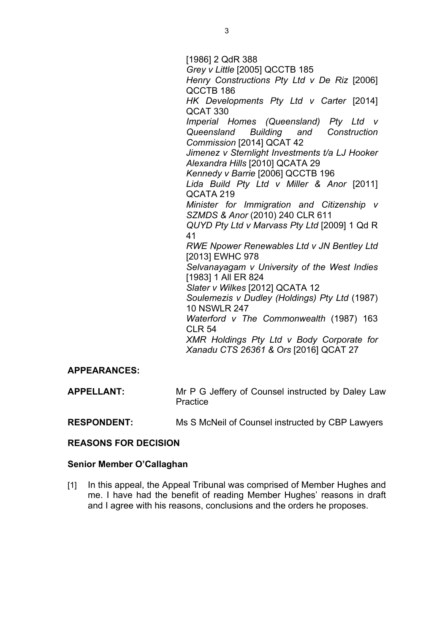[1986] 2 QdR 388 *Grey v Little* [2005] QCCTB 185 *Henry Constructions Pty Ltd v De Riz* [2006] QCCTB 186 *HK Developments Pty Ltd v Carter* [2014] QCAT 330 *Imperial Homes (Queensland) Pty Ltd v Queensland Building and Construction Commission* [2014] QCAT 42 *Jimenez v Sternlight Investments t/a LJ Hooker Alexandra Hills* [2010] QCATA 29 *Kennedy v Barrie* [2006] QCCTB 196 *Lida Build Pty Ltd v Miller & Anor* [2011] QCATA 219 *Minister for Immigration and Citizenship v SZMDS & Anor* (2010) 240 CLR 611 *QUYD Pty Ltd v Marvass Pty Ltd* [2009] 1 Qd R 41 *RWE Npower Renewables Ltd v JN Bentley Ltd*  [2013] EWHC 978 *Selvanayagam v University of the West Indies*  [1983] 1 All ER 824 *Slater v Wilkes* [2012] QCATA 12 *Soulemezis v Dudley (Holdings) Pty Ltd* (1987) 10 NSWLR 247 *Waterford v The Commonwealth* (1987) 163 CLR 54 *XMR Holdings Pty Ltd v Body Corporate for Xanadu CTS 26361 & Ors* [2016] QCAT 27

# **APPEARANCES:**

| <b>APPELLANT:</b> | Mr P G Jeffery of Counsel instructed by Daley Law |
|-------------------|---------------------------------------------------|
|                   | Practice                                          |

**RESPONDENT:** Ms S McNeil of Counsel instructed by CBP Lawyers

#### **REASONS FOR DECISION**

#### **Senior Member O'Callaghan**

[1] In this appeal, the Appeal Tribunal was comprised of Member Hughes and me. I have had the benefit of reading Member Hughes' reasons in draft and I agree with his reasons, conclusions and the orders he proposes.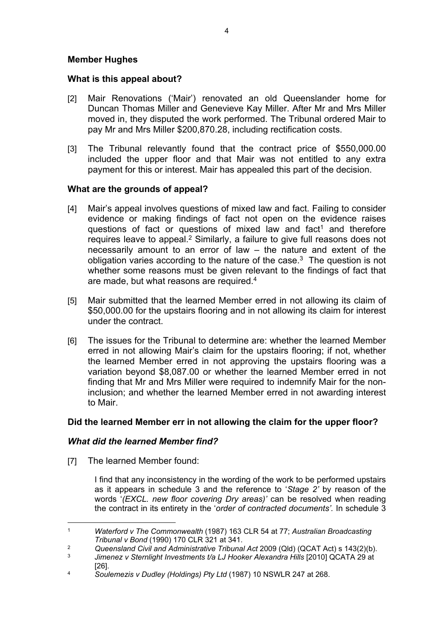### **Member Hughes**

### **What is this appeal about?**

- [2] Mair Renovations ('Mair') renovated an old Queenslander home for Duncan Thomas Miller and Genevieve Kay Miller. After Mr and Mrs Miller moved in, they disputed the work performed. The Tribunal ordered Mair to pay Mr and Mrs Miller \$200,870.28, including rectification costs.
- [3] The Tribunal relevantly found that the contract price of \$550,000.00 included the upper floor and that Mair was not entitled to any extra payment for this or interest. Mair has appealed this part of the decision.

### **What are the grounds of appeal?**

- [4] Mair's appeal involves questions of mixed law and fact. Failing to consider evidence or making findings of fact not open on the evidence raises questions of fact or questions of mixed law and fact<sup>1</sup> and therefore requires leave to appeal.<sup>2</sup> Similarly, a failure to give full reasons does not necessarily amount to an error of law – the nature and extent of the obligation varies according to the nature of the case. $3$  The question is not whether some reasons must be given relevant to the findings of fact that are made, but what reasons are required.<sup>4</sup>
- [5] Mair submitted that the learned Member erred in not allowing its claim of \$50,000.00 for the upstairs flooring and in not allowing its claim for interest under the contract.
- [6] The issues for the Tribunal to determine are: whether the learned Member erred in not allowing Mair's claim for the upstairs flooring; if not, whether the learned Member erred in not approving the upstairs flooring was a variation beyond \$8,087.00 or whether the learned Member erred in not finding that Mr and Mrs Miller were required to indemnify Mair for the noninclusion; and whether the learned Member erred in not awarding interest to Mair.

# **Did the learned Member err in not allowing the claim for the upper floor?**

# *What did the learned Member find?*

[7] The learned Member found:

I find that any inconsistency in the wording of the work to be performed upstairs as it appears in schedule 3 and the reference to '*Stage 2'* by reason of the words '*(EXCL. new floor covering Dry areas)'* can be resolved when reading the contract in its entirety in the '*order of contracted documents'.* In schedule 3

<sup>1</sup> *Waterford v The Commonwealth* (1987) 163 CLR 54 at 77; *Australian Broadcasting Tribunal v Bond* (1990) 170 CLR 321 at 341.

<sup>2</sup> *Queensland Civil and Administrative Tribunal Act* 2009 (Qld) (QCAT Act) s 143(2)(b).

<sup>3</sup> *Jimenez v Sternlight Investments t/a LJ Hooker Alexandra Hills* [2010] QCATA 29 at [26].

<sup>4</sup> *Soulemezis v Dudley (Holdings) Pty Ltd* (1987) 10 NSWLR 247 at 268.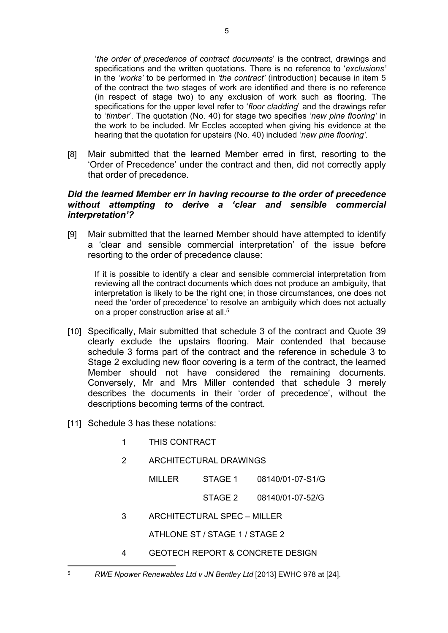'*the order of precedence of contract documents*' is the contract, drawings and specifications and the written quotations. There is no reference to '*exclusions'*  in the *'works'* to be performed in *'the contract'* (introduction) because in item 5 of the contract the two stages of work are identified and there is no reference (in respect of stage two) to any exclusion of work such as flooring. The specifications for the upper level refer to '*floor cladding*' and the drawings refer to '*timber*'. The quotation (No. 40) for stage two specifies '*new pine flooring'* in the work to be included. Mr Eccles accepted when giving his evidence at the hearing that the quotation for upstairs (No. 40) included '*new pine flooring'.*

[8] Mair submitted that the learned Member erred in first, resorting to the 'Order of Precedence' under the contract and then, did not correctly apply that order of precedence.

### *Did the learned Member err in having recourse to the order of precedence without attempting to derive a 'clear and sensible commercial interpretation'?*

[9] Mair submitted that the learned Member should have attempted to identify a 'clear and sensible commercial interpretation' of the issue before resorting to the order of precedence clause:

If it is possible to identify a clear and sensible commercial interpretation from reviewing all the contract documents which does not produce an ambiguity, that interpretation is likely to be the right one; in those circumstances, one does not need the 'order of precedence' to resolve an ambiguity which does not actually on a proper construction arise at all.<sup>5</sup>

- [10] Specifically, Mair submitted that schedule 3 of the contract and Quote 39 clearly exclude the upstairs flooring. Mair contended that because schedule 3 forms part of the contract and the reference in schedule 3 to Stage 2 excluding new floor covering is a term of the contract, the learned Member should not have considered the remaining documents. Conversely, Mr and Mrs Miller contended that schedule 3 merely describes the documents in their 'order of precedence', without the descriptions becoming terms of the contract.
- [11] Schedule 3 has these notations:
	- 1 THIS CONTRACT
	- 2 ARCHITECTURAL DRAWINGS

MILLER STAGE 1 08140/01-07-S1/G

STAGE 2 08140/01-07-52/G

3 ARCHITECTURAL SPEC – MILLER

ATHLONE ST / STAGE 1 / STAGE 2

4 GEOTECH REPORT & CONCRETE DESIGN

<sup>5</sup> *RWE Npower Renewables Ltd v JN Bentley Ltd* [2013] EWHC 978 at [24].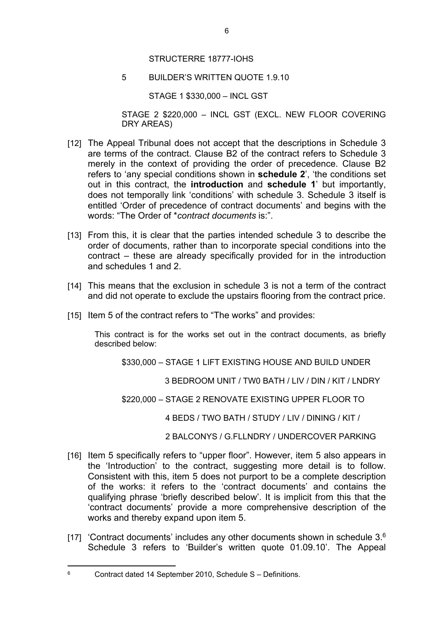5 BUILDER'S WRITTEN QUOTE 1.9.10

STAGE 1 \$330,000 – INCL GST

STAGE 2 \$220,000 – INCL GST (EXCL. NEW FLOOR COVERING DRY AREAS)

- [12] The Appeal Tribunal does not accept that the descriptions in Schedule 3 are terms of the contract. Clause B2 of the contract refers to Schedule 3 merely in the context of providing the order of precedence. Clause B2 refers to 'any special conditions shown in **schedule 2**', 'the conditions set out in this contract, the **introduction** and **schedule 1**' but importantly, does not temporally link 'conditions' with schedule 3. Schedule 3 itself is entitled 'Order of precedence of contract documents' and begins with the words: "The Order of \**contract documents* is:".
- [13] From this, it is clear that the parties intended schedule 3 to describe the order of documents, rather than to incorporate special conditions into the contract – these are already specifically provided for in the introduction and schedules 1 and 2.
- [14] This means that the exclusion in schedule 3 is not a term of the contract and did not operate to exclude the upstairs flooring from the contract price.
- [15] Item 5 of the contract refers to "The works" and provides:

This contract is for the works set out in the contract documents, as briefly described below:

\$330,000 – STAGE 1 LIFT EXISTING HOUSE AND BUILD UNDER

3 BEDROOM UNIT / TW0 BATH / LIV / DIN / KIT / LNDRY

\$220,000 – STAGE 2 RENOVATE EXISTING UPPER FLOOR TO

4 BEDS / TWO BATH / STUDY / LIV / DINING / KIT /

2 BALCONYS / G.FLLNDRY / UNDERCOVER PARKING

- [16] Item 5 specifically refers to "upper floor". However, item 5 also appears in the 'Introduction' to the contract, suggesting more detail is to follow. Consistent with this, item 5 does not purport to be a complete description of the works: it refers to the 'contract documents' and contains the qualifying phrase 'briefly described below'. It is implicit from this that the 'contract documents' provide a more comprehensive description of the works and thereby expand upon item 5.
- [17] 'Contract documents' includes any other documents shown in schedule 3.<sup>6</sup> Schedule 3 refers to 'Builder's written quote 01.09.10'. The Appeal

<sup>6</sup> Contract dated 14 September 2010, Schedule S – Definitions.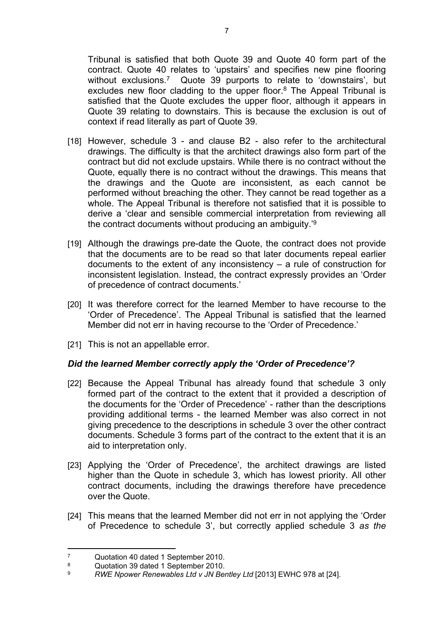Tribunal is satisfied that both Quote 39 and Quote 40 form part of the contract. Quote 40 relates to 'upstairs' and specifies new pine flooring without exclusions.<sup>7</sup> Quote 39 purports to relate to 'downstairs', but excludes new floor cladding to the upper floor.<sup>8</sup> The Appeal Tribunal is satisfied that the Quote excludes the upper floor, although it appears in Quote 39 relating to downstairs. This is because the exclusion is out of context if read literally as part of Quote 39.

- [18] However, schedule 3 and clause B2 also refer to the architectural drawings. The difficulty is that the architect drawings also form part of the contract but did not exclude upstairs. While there is no contract without the Quote, equally there is no contract without the drawings. This means that the drawings and the Quote are inconsistent, as each cannot be performed without breaching the other. They cannot be read together as a whole. The Appeal Tribunal is therefore not satisfied that it is possible to derive a 'clear and sensible commercial interpretation from reviewing all the contract documents without producing an ambiguity.'<sup>9</sup>
- [19] Although the drawings pre-date the Quote, the contract does not provide that the documents are to be read so that later documents repeal earlier documents to the extent of any inconsistency – a rule of construction for inconsistent legislation. Instead, the contract expressly provides an 'Order of precedence of contract documents.'
- [20] It was therefore correct for the learned Member to have recourse to the 'Order of Precedence'. The Appeal Tribunal is satisfied that the learned Member did not err in having recourse to the 'Order of Precedence.'
- [21] This is not an appellable error.

# *Did the learned Member correctly apply the 'Order of Precedence'?*

- [22] Because the Appeal Tribunal has already found that schedule 3 only formed part of the contract to the extent that it provided a description of the documents for the 'Order of Precedence' - rather than the descriptions providing additional terms - the learned Member was also correct in not giving precedence to the descriptions in schedule 3 over the other contract documents. Schedule 3 forms part of the contract to the extent that it is an aid to interpretation only.
- [23] Applying the 'Order of Precedence', the architect drawings are listed higher than the Quote in schedule 3, which has lowest priority. All other contract documents, including the drawings therefore have precedence over the Quote.
- [24] This means that the learned Member did not err in not applying the 'Order of Precedence to schedule 3', but correctly applied schedule 3 *as the*

<sup>7</sup> Quotation 40 dated 1 September 2010.

<sup>8</sup> <sup>8</sup> Quotation 39 dated 1 September 2010.

<sup>9</sup> *RWE Npower Renewables Ltd v JN Bentley Ltd* [2013] EWHC 978 at [24].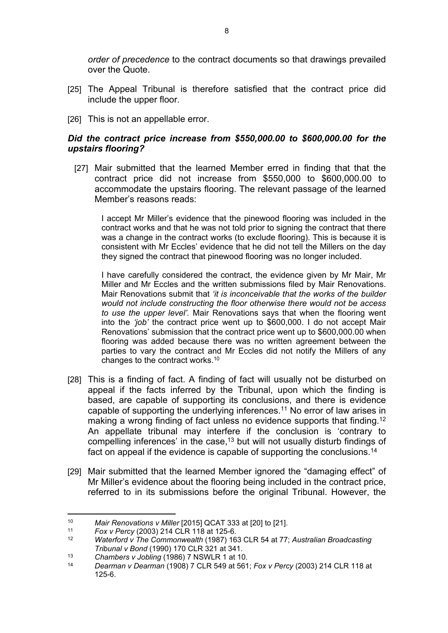*order of precedence* to the contract documents so that drawings prevailed over the Quote.

- [25] The Appeal Tribunal is therefore satisfied that the contract price did include the upper floor.
- [26] This is not an appellable error.

# *Did the contract price increase from \$550,000.00 to \$600,000.00 for the upstairs flooring?*

[27] Mair submitted that the learned Member erred in finding that that the contract price did not increase from \$550,000 to \$600,000.00 to accommodate the upstairs flooring. The relevant passage of the learned Member's reasons reads:

I accept Mr Miller's evidence that the pinewood flooring was included in the contract works and that he was not told prior to signing the contract that there was a change in the contract works (to exclude flooring). This is because it is consistent with Mr Eccles' evidence that he did not tell the Millers on the day they signed the contract that pinewood flooring was no longer included.

I have carefully considered the contract, the evidence given by Mr Mair, Mr Miller and Mr Eccles and the written submissions filed by Mair Renovations. Mair Renovations submit that *'it is inconceivable that the works of the builder would not include constructing the floor otherwise there would not be access to use the upper level'.* Mair Renovations says that when the flooring went into the *'job'* the contract price went up to \$600,000. I do not accept Mair Renovations' submission that the contract price went up to \$600,000.00 when flooring was added because there was no written agreement between the parties to vary the contract and Mr Eccles did not notify the Millers of any changes to the contract works.<sup>10</sup>

- [28] This is a finding of fact. A finding of fact will usually not be disturbed on appeal if the facts inferred by the Tribunal, upon which the finding is based, are capable of supporting its conclusions, and there is evidence capable of supporting the underlying inferences.<sup>11</sup> No error of law arises in making a wrong finding of fact unless no evidence supports that finding.<sup>12</sup> An appellate tribunal may interfere if the conclusion is 'contrary to compelling inferences' in the case,<sup>13</sup> but will not usually disturb findings of fact on appeal if the evidence is capable of supporting the conclusions.<sup>14</sup>
- [29] Mair submitted that the learned Member ignored the "damaging effect" of Mr Miller's evidence about the flooring being included in the contract price, referred to in its submissions before the original Tribunal. However, the

<sup>10</sup> *Mair Renovations v Miller* [2015] QCAT 333 at [20] to [21].

<sup>11</sup> *Fox v Percy* (2003) 214 CLR 118 at 125-6.

<sup>12</sup> *Waterford v The Commonwealth* (1987) 163 CLR 54 at 77; *Australian Broadcasting Tribunal v Bond* (1990) 170 CLR 321 at 341.

<sup>13</sup> *Chambers v Jobling* (1986) 7 NSWLR 1 at 10.

<sup>14</sup> *Dearman v Dearman* (1908) 7 CLR 549 at 561; *Fox v Percy* (2003) 214 CLR 118 at 125-6.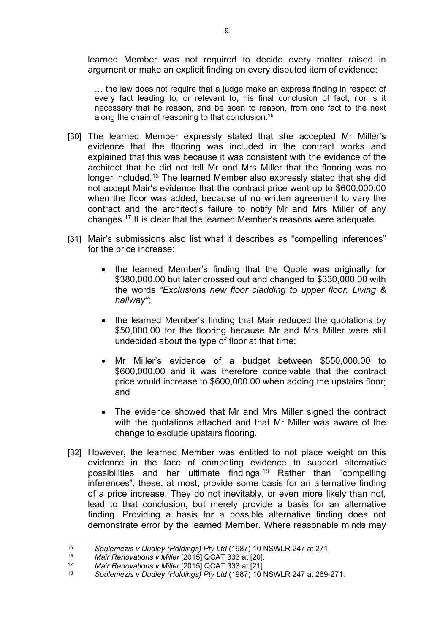learned Member was not required to decide every matter raised in argument or make an explicit finding on every disputed item of evidence:

… the law does not require that a judge make an express finding in respect of every fact leading to, or relevant to, his final conclusion of fact; nor is it necessary that he reason, and be seen to reason, from one fact to the next along the chain of reasoning to that conclusion.<sup>15</sup>

- [30] The learned Member expressly stated that she accepted Mr Miller's evidence that the flooring was included in the contract works and explained that this was because it was consistent with the evidence of the architect that he did not tell Mr and Mrs Miller that the flooring was no longer included.<sup>16</sup> The learned Member also expressly stated that she did not accept Mair's evidence that the contract price went up to \$600,000.00 when the floor was added, because of no written agreement to vary the contract and the architect's failure to notify Mr and Mrs Miller of any changes.<sup>17</sup> It is clear that the learned Member's reasons were adequate.
- [31] Mair's submissions also list what it describes as "compelling inferences" for the price increase:
	- the learned Member's finding that the Quote was originally for \$380,000.00 but later crossed out and changed to \$330,000.00 with the words *"Exclusions new floor cladding to upper floor. Living & hallway"*;
	- the learned Member's finding that Mair reduced the quotations by \$50,000.00 for the flooring because Mr and Mrs Miller were still undecided about the type of floor at that time;
	- Mr Miller's evidence of a budget between \$550,000.00 to \$600,000.00 and it was therefore conceivable that the contract price would increase to \$600,000.00 when adding the upstairs floor; and
	- The evidence showed that Mr and Mrs Miller signed the contract with the quotations attached and that Mr Miller was aware of the change to exclude upstairs flooring.
- [32] However, the learned Member was entitled to not place weight on this evidence in the face of competing evidence to support alternative possibilities and her ultimate findings.<sup>18</sup> Rather than "compelling inferences", these, at most, provide some basis for an alternative finding of a price increase. They do not inevitably, or even more likely than not, lead to that conclusion, but merely provide a basis for an alternative finding. Providing a basis for a possible alternative finding does not demonstrate error by the learned Member. Where reasonable minds may

<sup>15</sup> *Soulemezis v Dudley (Holdings) Pty Ltd* (1987) 10 NSWLR 247 at 271.

<sup>16</sup> *Mair Renovations v Miller* [2015] QCAT 333 at [20].

<sup>17</sup> *Mair Renovations v Miller* [2015] QCAT 333 at [21].

<sup>18</sup> *Soulemezis v Dudley (Holdings) Pty Ltd* (1987) 10 NSWLR 247 at 269-271.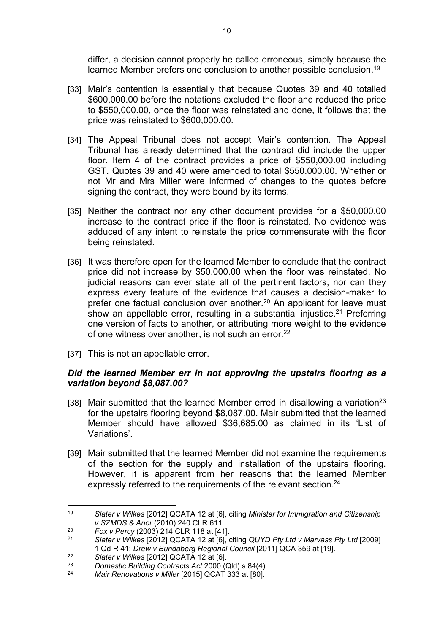differ, a decision cannot properly be called erroneous, simply because the learned Member prefers one conclusion to another possible conclusion.<sup>19</sup>

- [33] Mair's contention is essentially that because Quotes 39 and 40 totalled \$600,000.00 before the notations excluded the floor and reduced the price to \$550,000.00, once the floor was reinstated and done, it follows that the price was reinstated to \$600,000.00.
- [34] The Appeal Tribunal does not accept Mair's contention. The Appeal Tribunal has already determined that the contract did include the upper floor. Item 4 of the contract provides a price of \$550,000.00 including GST. Quotes 39 and 40 were amended to total \$550.000.00. Whether or not Mr and Mrs Miller were informed of changes to the quotes before signing the contract, they were bound by its terms.
- [35] Neither the contract nor any other document provides for a \$50,000.00 increase to the contract price if the floor is reinstated. No evidence was adduced of any intent to reinstate the price commensurate with the floor being reinstated.
- [36] It was therefore open for the learned Member to conclude that the contract price did not increase by \$50,000.00 when the floor was reinstated. No judicial reasons can ever state all of the pertinent factors, nor can they express every feature of the evidence that causes a decision-maker to prefer one factual conclusion over another.<sup>20</sup> An applicant for leave must show an appellable error, resulting in a substantial injustice.<sup>21</sup> Preferring one version of facts to another, or attributing more weight to the evidence of one witness over another, is not such an error.<sup>22</sup>
- [37] This is not an appellable error.

# *Did the learned Member err in not approving the upstairs flooring as a variation beyond \$8,087.00?*

- [38] Mair submitted that the learned Member erred in disallowing a variation<sup>23</sup> for the upstairs flooring beyond \$8,087.00. Mair submitted that the learned Member should have allowed \$36,685.00 as claimed in its 'List of Variations'.
- [39] Mair submitted that the learned Member did not examine the requirements of the section for the supply and installation of the upstairs flooring. However, it is apparent from her reasons that the learned Member expressly referred to the requirements of the relevant section.<sup>24</sup>

<sup>19</sup> *Slater v Wilkes* [2012] QCATA 12 at [6], citing *Minister for Immigration and Citizenship v SZMDS & Anor* (2010) 240 CLR 611.

<sup>20</sup> *Fox v Percy* (2003) 214 CLR 118 at [41].

<sup>21</sup> *Slater v Wilkes* [2012] QCATA 12 at [6], citing *QUYD Pty Ltd v Marvass Pty Ltd* [2009] 1 Qd R 41; *Drew v Bundaberg Regional Council* [2011] QCA 359 at [19].

<sup>22</sup> *Slater v Wilkes* [2012] QCATA 12 at [6].

<sup>23</sup> *Domestic Building Contracts Act* 2000 (Qld) s 84(4).

*Mair Renovations v Miller* [2015] QCAT 333 at [80].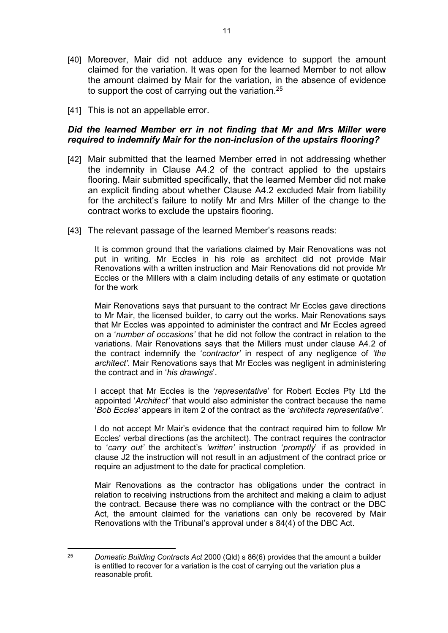- [40] Moreover, Mair did not adduce any evidence to support the amount claimed for the variation. It was open for the learned Member to not allow the amount claimed by Mair for the variation, in the absence of evidence to support the cost of carrying out the variation.<sup>25</sup>
- [41] This is not an appellable error.

# *Did the learned Member err in not finding that Mr and Mrs Miller were required to indemnify Mair for the non-inclusion of the upstairs flooring?*

- [42] Mair submitted that the learned Member erred in not addressing whether the indemnity in Clause A4.2 of the contract applied to the upstairs flooring. Mair submitted specifically, that the learned Member did not make an explicit finding about whether Clause A4.2 excluded Mair from liability for the architect's failure to notify Mr and Mrs Miller of the change to the contract works to exclude the upstairs flooring.
- [43] The relevant passage of the learned Member's reasons reads:

It is common ground that the variations claimed by Mair Renovations was not put in writing. Mr Eccles in his role as architect did not provide Mair Renovations with a written instruction and Mair Renovations did not provide Mr Eccles or the Millers with a claim including details of any estimate or quotation for the work

Mair Renovations says that pursuant to the contract Mr Eccles gave directions to Mr Mair, the licensed builder, to carry out the works. Mair Renovations says that Mr Eccles was appointed to administer the contract and Mr Eccles agreed on a '*number of occasions'* that he did not follow the contract in relation to the variations. Mair Renovations says that the Millers must under clause A4.2 of the contract indemnify the '*contractor'* in respect of any negligence of *'the architect'.* Mair Renovations says that Mr Eccles was negligent in administering the contract and in '*his drawings*'.

I accept that Mr Eccles is the *'representative*' for Robert Eccles Pty Ltd the appointed '*Architect'* that would also administer the contract because the name '*Bob Eccles'* appears in item 2 of the contract as the *'architects representative'.*

I do not accept Mr Mair's evidence that the contract required him to follow Mr Eccles' verbal directions (as the architect). The contract requires the contractor to '*carry out'* the architect's *'written'* instruction '*promptly*' if as provided in clause J2 the instruction will not result in an adjustment of the contract price or require an adjustment to the date for practical completion.

Mair Renovations as the contractor has obligations under the contract in relation to receiving instructions from the architect and making a claim to adjust the contract. Because there was no compliance with the contract or the DBC Act, the amount claimed for the variations can only be recovered by Mair Renovations with the Tribunal's approval under s 84(4) of the DBC Act.

<sup>25</sup> *Domestic Building Contracts Act* 2000 (Qld) s 86(6) provides that the amount a builder is entitled to recover for a variation is the cost of carrying out the variation plus a reasonable profit.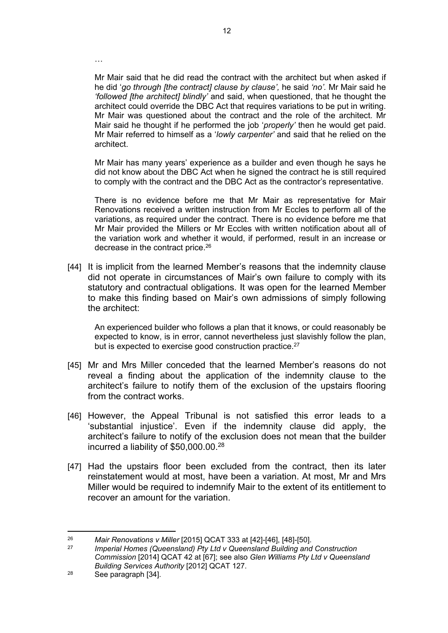Mr Mair said that he did read the contract with the architect but when asked if he did '*go through [the contract] clause by clause',* he said *'no'.* Mr Mair said he *'followed [the architect] blindly'* and said, when questioned, that he thought the architect could override the DBC Act that requires variations to be put in writing. Mr Mair was questioned about the contract and the role of the architect. Mr Mair said he thought if he performed the job '*properly'* then he would get paid. Mr Mair referred to himself as a '*lowly carpenter'* and said that he relied on the architect.

Mr Mair has many years' experience as a builder and even though he says he did not know about the DBC Act when he signed the contract he is still required to comply with the contract and the DBC Act as the contractor's representative.

There is no evidence before me that Mr Mair as representative for Mair Renovations received a written instruction from Mr Eccles to perform all of the variations, as required under the contract. There is no evidence before me that Mr Mair provided the Millers or Mr Eccles with written notification about all of the variation work and whether it would, if performed, result in an increase or decrease in the contract price.<sup>26</sup>

[44] It is implicit from the learned Member's reasons that the indemnity clause did not operate in circumstances of Mair's own failure to comply with its statutory and contractual obligations. It was open for the learned Member to make this finding based on Mair's own admissions of simply following the architect:

An experienced builder who follows a plan that it knows, or could reasonably be expected to know, is in error, cannot nevertheless just slavishly follow the plan, but is expected to exercise good construction practice.<sup>27</sup>

- [45] Mr and Mrs Miller conceded that the learned Member's reasons do not reveal a finding about the application of the indemnity clause to the architect's failure to notify them of the exclusion of the upstairs flooring from the contract works.
- [46] However, the Appeal Tribunal is not satisfied this error leads to a 'substantial injustice'. Even if the indemnity clause did apply, the architect's failure to notify of the exclusion does not mean that the builder incurred a liability of \$50,000.00.<sup>28</sup>
- [47] Had the upstairs floor been excluded from the contract, then its later reinstatement would at most, have been a variation. At most, Mr and Mrs Miller would be required to indemnify Mair to the extent of its entitlement to recover an amount for the variation.

…

<sup>26</sup> *Mair Renovations v Miller* [2015] QCAT 333 at [42]-[46], [48]-[50].

<sup>27</sup> *Imperial Homes (Queensland) Pty Ltd v Queensland Building and Construction Commission* [2014] QCAT 42 at [67]; see also *Glen Williams Pty Ltd v Queensland Building Services Authority* [2012] QCAT 127.

<sup>28</sup> See paragraph [34].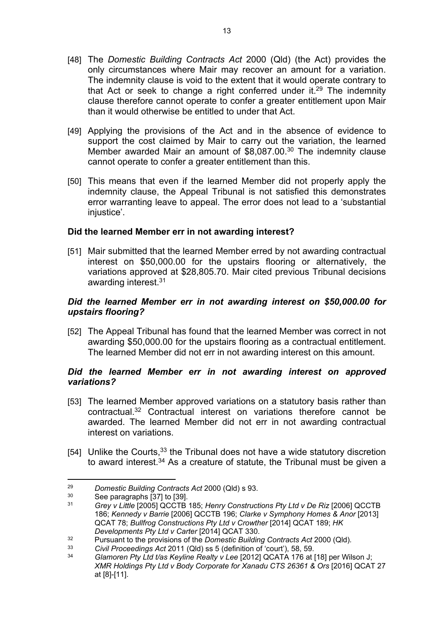- [48] The *Domestic Building Contracts Act* 2000 (Qld) (the Act) provides the only circumstances where Mair may recover an amount for a variation. The indemnity clause is void to the extent that it would operate contrary to that Act or seek to change a right conferred under it.<sup>29</sup> The indemnity clause therefore cannot operate to confer a greater entitlement upon Mair than it would otherwise be entitled to under that Act.
- [49] Applying the provisions of the Act and in the absence of evidence to support the cost claimed by Mair to carry out the variation, the learned Member awarded Mair an amount of \$8,087.00.<sup>30</sup> The indemnity clause cannot operate to confer a greater entitlement than this.
- [50] This means that even if the learned Member did not properly apply the indemnity clause, the Appeal Tribunal is not satisfied this demonstrates error warranting leave to appeal. The error does not lead to a 'substantial iniustice'.

# **Did the learned Member err in not awarding interest?**

[51] Mair submitted that the learned Member erred by not awarding contractual interest on \$50,000.00 for the upstairs flooring or alternatively, the variations approved at \$28,805.70. Mair cited previous Tribunal decisions awarding interest.<sup>31</sup>

### *Did the learned Member err in not awarding interest on \$50,000.00 for upstairs flooring?*

[52] The Appeal Tribunal has found that the learned Member was correct in not awarding \$50,000.00 for the upstairs flooring as a contractual entitlement. The learned Member did not err in not awarding interest on this amount.

# *Did the learned Member err in not awarding interest on approved variations?*

- [53] The learned Member approved variations on a statutory basis rather than contractual.<sup>32</sup> Contractual interest on variations therefore cannot be awarded. The learned Member did not err in not awarding contractual interest on variations.
- [54] Unlike the Courts,<sup>33</sup> the Tribunal does not have a wide statutory discretion to award interest.<sup>34</sup> As a creature of statute, the Tribunal must be given a

<sup>29</sup> *Domestic Building Contracts Act* 2000 (Qld) s 93.

 $30$  See paragraphs [37] to [39].

<sup>31</sup> *Grey v Little* [2005] QCCTB 185; *Henry Constructions Pty Ltd v De Riz* [2006] QCCTB 186; *Kennedy v Barrie* [2006] QCCTB 196; *Clarke v Symphony Homes & Anor* [2013] QCAT 78; *Bullfrog Constructions Pty Ltd v Crowther* [2014] QCAT 189; *HK Developments Pty Ltd v Carter* [2014] QCAT 330.

<sup>32</sup> Pursuant to the provisions of the *Domestic Building Contracts Act* 2000 (Qld)*.*

<sup>33</sup> *Civil Proceedings Act* 2011 (Qld) ss 5 (definition of 'court'), 58, 59.

<sup>34</sup> *Glamoren Pty Ltd t/as Keyline Realty v Lee* [2012] QCATA 176 at [18] per Wilson J; *XMR Holdings Pty Ltd v Body Corporate for Xanadu CTS 26361 & Ors* [2016] QCAT 27 at [8]-[11].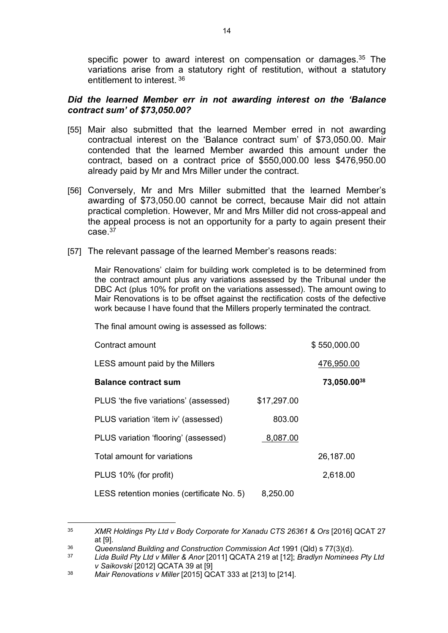specific power to award interest on compensation or damages.<sup>35</sup> The variations arise from a statutory right of restitution, without a statutory entitlement to interest.<sup>36</sup>

# *Did the learned Member err in not awarding interest on the 'Balance contract sum' of \$73,050.00?*

- [55] Mair also submitted that the learned Member erred in not awarding contractual interest on the 'Balance contract sum' of \$73,050.00. Mair contended that the learned Member awarded this amount under the contract, based on a contract price of \$550,000.00 less \$476,950.00 already paid by Mr and Mrs Miller under the contract.
- [56] Conversely, Mr and Mrs Miller submitted that the learned Member's awarding of \$73,050.00 cannot be correct, because Mair did not attain practical completion. However, Mr and Mrs Miller did not cross-appeal and the appeal process is not an opportunity for a party to again present their  $case<sup>37</sup>$
- [57] The relevant passage of the learned Member's reasons reads:

Mair Renovations' claim for building work completed is to be determined from the contract amount plus any variations assessed by the Tribunal under the DBC Act (plus 10% for profit on the variations assessed). The amount owing to Mair Renovations is to be offset against the rectification costs of the defective work because I have found that the Millers properly terminated the contract.

The final amount owing is assessed as follows:

| Contract amount                           |             | \$550,000.00 |
|-------------------------------------------|-------------|--------------|
| LESS amount paid by the Millers           |             | 476,950.00   |
| <b>Balance contract sum</b>               |             | 73,050.0038  |
| PLUS 'the five variations' (assessed)     | \$17,297.00 |              |
| PLUS variation 'item iv' (assessed)       | 803.00      |              |
| PLUS variation 'flooring' (assessed)      | 8,087.00    |              |
| Total amount for variations               |             | 26,187.00    |
| PLUS 10% (for profit)                     |             | 2,618.00     |
| LESS retention monies (certificate No. 5) | 8,250.00    |              |

<sup>&</sup>lt;sup>35</sup> *XMR Holdings Pty Ltd v Body Corporate for Xanadu CTS 26361 & Ors [2016] QCAT 27* at [9].

<sup>36</sup> *Queensland Building and Construction Commission Act* 1991 (Qld) s 77(3)(d).

<sup>37</sup> *Lida Build Pty Ltd v Miller & Anor* [2011] QCATA 219 at [12]; *Bradlyn Nominees Pty Ltd v Saikovski* [2012] QCATA 39 at [9]

<sup>38</sup> *Mair Renovations v Miller* [2015] QCAT 333 at [213] to [214].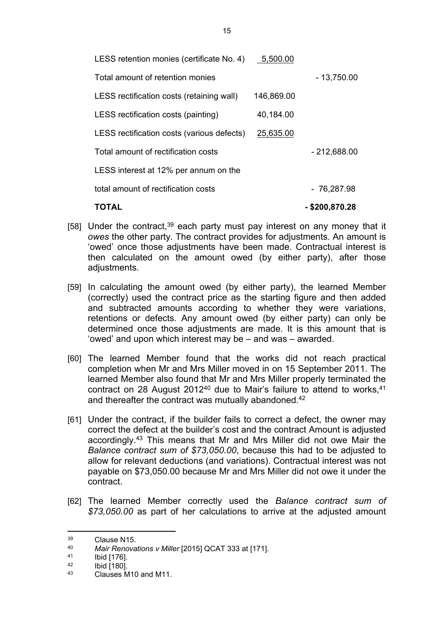| LESS retention monies (certificate No. 4)  | 5,500.00   |                  |
|--------------------------------------------|------------|------------------|
| Total amount of retention monies           |            | $-13,750.00$     |
| LESS rectification costs (retaining wall)  | 146,869.00 |                  |
| LESS rectification costs (painting)        | 40,184.00  |                  |
| LESS rectification costs (various defects) | 25,635.00  |                  |
| Total amount of rectification costs        |            | $-212,688.00$    |
| LESS interest at 12% per annum on the      |            |                  |
| total amount of rectification costs        |            | - 76,287.98      |
| TOTAL                                      |            | $-$ \$200,870.28 |

- [58] Under the contract,  $39$  each party must pay interest on any money that it *owes* the other party. The contract provides for adjustments. An amount is 'owed' once those adjustments have been made. Contractual interest is then calculated on the amount owed (by either party), after those adjustments.
- [59] In calculating the amount owed (by either party), the learned Member (correctly) used the contract price as the starting figure and then added and subtracted amounts according to whether they were variations, retentions or defects. Any amount owed (by either party) can only be determined once those adjustments are made. It is this amount that is 'owed' and upon which interest may be – and was – awarded.
- [60] The learned Member found that the works did not reach practical completion when Mr and Mrs Miller moved in on 15 September 2011. The learned Member also found that Mr and Mrs Miller properly terminated the contract on 28 August 2012<sup>40</sup> due to Mair's failure to attend to works, <sup>41</sup> and thereafter the contract was mutually abandoned.<sup>42</sup>
- [61] Under the contract, if the builder fails to correct a defect, the owner may correct the defect at the builder's cost and the contract Amount is adjusted accordingly.<sup>43</sup> This means that Mr and Mrs Miller did not owe Mair the *Balance contract sum of \$73,050.00*, because this had to be adjusted to allow for relevant deductions (and variations). Contractual interest was not payable on \$73,050.00 because Mr and Mrs Miller did not owe it under the contract.
- [62] The learned Member correctly used the *Balance contract sum of \$73,050.00* as part of her calculations to arrive at the adjusted amount

 $\frac{39}{40}$  Clause N15.

<sup>40</sup> *Mair Renovations v Miller* [2015] QCAT 333 at [171].

 $\frac{41}{42}$  Ibid [176].

 $^{42}$  Ibid [180].

<sup>43</sup> Clauses M10 and M11.